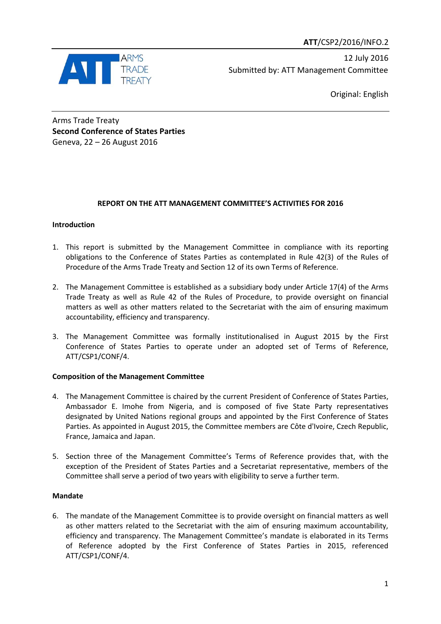

12 July 2016 Submitted by: ATT Management Committee

Original: English

Arms Trade Treaty **Second Conference of States Parties** Geneva, 22 – 26 August 2016

## **REPORT ON THE ATT MANAGEMENT COMMITTEE'S ACTIVITIES FOR 2016**

## **Introduction**

- 1. This report is submitted by the Management Committee in compliance with its reporting obligations to the Conference of States Parties as contemplated in Rule 42(3) of the Rules of Procedure of the Arms Trade Treaty and Section 12 of its own Terms of Reference.
- 2. The Management Committee is established as a subsidiary body under Article 17(4) of the Arms Trade Treaty as well as Rule 42 of the Rules of Procedure, to provide oversight on financial matters as well as other matters related to the Secretariat with the aim of ensuring maximum accountability, efficiency and transparency.
- 3. The Management Committee was formally institutionalised in August 2015 by the First Conference of States Parties to operate under an adopted set of Terms of Reference, ATT/CSP1/CONF/4.

## **Composition of the Management Committee**

- 4. The Management Committee is chaired by the current President of Conference of States Parties, Ambassador E. Imohe from Nigeria, and is composed of five State Party representatives designated by United Nations regional groups and appointed by the First Conference of States Parties. As appointed in August 2015, the Committee members are Côte d'Ivoire, Czech Republic, France, Jamaica and Japan.
- 5. Section three of the Management Committee's Terms of Reference provides that, with the exception of the President of States Parties and a Secretariat representative, members of the Committee shall serve a period of two years with eligibility to serve a further term.

## **Mandate**

6. The mandate of the Management Committee is to provide oversight on financial matters as well as other matters related to the Secretariat with the aim of ensuring maximum accountability, efficiency and transparency. The Management Committee's mandate is elaborated in its Terms of Reference adopted by the First Conference of States Parties in 2015, referenced ATT/CSP1/CONF/4.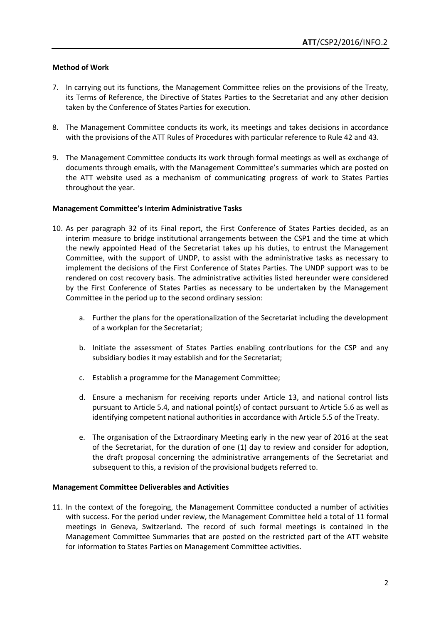#### **Method of Work**

- 7. In carrying out its functions, the Management Committee relies on the provisions of the Treaty, its Terms of Reference, the Directive of States Parties to the Secretariat and any other decision taken by the Conference of States Parties for execution.
- 8. The Management Committee conducts its work, its meetings and takes decisions in accordance with the provisions of the ATT Rules of Procedures with particular reference to Rule 42 and 43.
- 9. The Management Committee conducts its work through formal meetings as well as exchange of documents through emails, with the Management Committee's summaries which are posted on the ATT website used as a mechanism of communicating progress of work to States Parties throughout the year.

#### **Management Committee's Interim Administrative Tasks**

- 10. As per paragraph 32 of its Final report, the First Conference of States Parties decided, as an interim measure to bridge institutional arrangements between the CSP1 and the time at which the newly appointed Head of the Secretariat takes up his duties, to entrust the Management Committee, with the support of UNDP, to assist with the administrative tasks as necessary to implement the decisions of the First Conference of States Parties. The UNDP support was to be rendered on cost recovery basis. The administrative activities listed hereunder were considered by the First Conference of States Parties as necessary to be undertaken by the Management Committee in the period up to the second ordinary session:
	- a. Further the plans for the operationalization of the Secretariat including the development of a workplan for the Secretariat;
	- b. Initiate the assessment of States Parties enabling contributions for the CSP and any subsidiary bodies it may establish and for the Secretariat;
	- c. Establish a programme for the Management Committee;
	- d. Ensure a mechanism for receiving reports under Article 13, and national control lists pursuant to Article 5.4, and national point(s) of contact pursuant to Article 5.6 as well as identifying competent national authorities in accordance with Article 5.5 of the Treaty.
	- e. The organisation of the Extraordinary Meeting early in the new year of 2016 at the seat of the Secretariat, for the duration of one (1) day to review and consider for adoption, the draft proposal concerning the administrative arrangements of the Secretariat and subsequent to this, a revision of the provisional budgets referred to.

#### **Management Committee Deliverables and Activities**

11. In the context of the foregoing, the Management Committee conducted a number of activities with success. For the period under review, the Management Committee held a total of 11 formal meetings in Geneva, Switzerland. The record of such formal meetings is contained in the Management Committee Summaries that are posted on the restricted part of the ATT website for information to States Parties on Management Committee activities.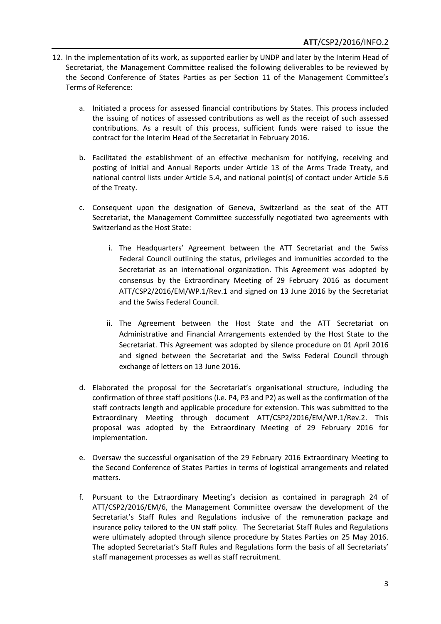- 12. In the implementation of its work, as supported earlier by UNDP and later by the Interim Head of Secretariat, the Management Committee realised the following deliverables to be reviewed by the Second Conference of States Parties as per Section 11 of the Management Committee's Terms of Reference:
	- a. Initiated a process for assessed financial contributions by States. This process included the issuing of notices of assessed contributions as well as the receipt of such assessed contributions. As a result of this process, sufficient funds were raised to issue the contract for the Interim Head of the Secretariat in February 2016.
	- b. Facilitated the establishment of an effective mechanism for notifying, receiving and posting of Initial and Annual Reports under Article 13 of the Arms Trade Treaty, and national control lists under Article 5.4, and national point(s) of contact under Article 5.6 of the Treaty.
	- c. Consequent upon the designation of Geneva, Switzerland as the seat of the ATT Secretariat, the Management Committee successfully negotiated two agreements with Switzerland as the Host State:
		- i. The Headquarters' Agreement between the ATT Secretariat and the Swiss Federal Council outlining the status, privileges and immunities accorded to the Secretariat as an international organization. This Agreement was adopted by consensus by the Extraordinary Meeting of 29 February 2016 as document ATT/CSP2/2016/EM/WP.1/Rev.1 and signed on 13 June 2016 by the Secretariat and the Swiss Federal Council.
		- ii. The Agreement between the Host State and the ATT Secretariat on Administrative and Financial Arrangements extended by the Host State to the Secretariat. This Agreement was adopted by silence procedure on 01 April 2016 and signed between the Secretariat and the Swiss Federal Council through exchange of letters on 13 June 2016.
	- d. Elaborated the proposal for the Secretariat's organisational structure, including the confirmation of three staff positions (i.e. P4, P3 and P2) as well as the confirmation of the staff contracts length and applicable procedure for extension. This was submitted to the Extraordinary Meeting through document ATT/CSP2/2016/EM/WP.1/Rev.2. This proposal was adopted by the Extraordinary Meeting of 29 February 2016 for implementation.
	- e. Oversaw the successful organisation of the 29 February 2016 Extraordinary Meeting to the Second Conference of States Parties in terms of logistical arrangements and related matters.
	- f. Pursuant to the Extraordinary Meeting's decision as contained in paragraph 24 of ATT/CSP2/2016/EM/6, the Management Committee oversaw the development of the Secretariat's Staff Rules and Regulations inclusive of the remuneration package and insurance policy tailored to the UN staff policy. The Secretariat Staff Rules and Regulations were ultimately adopted through silence procedure by States Parties on 25 May 2016. The adopted Secretariat's Staff Rules and Regulations form the basis of all Secretariats' staff management processes as well as staff recruitment.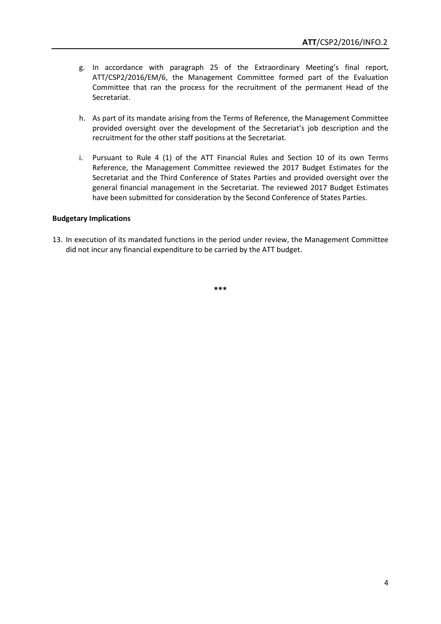- g. In accordance with paragraph 25 of the Extraordinary Meeting's final report, ATT/CSP2/2016/EM/6, the Management Committee formed part of the Evaluation Committee that ran the process for the recruitment of the permanent Head of the Secretariat.
- h. As part of its mandate arising from the Terms of Reference, the Management Committee provided oversight over the development of the Secretariat's job description and the recruitment for the other staff positions at the Secretariat.
- i. Pursuant to Rule 4 (1) of the ATT Financial Rules and Section 10 of its own Terms Reference, the Management Committee reviewed the 2017 Budget Estimates for the Secretariat and the Third Conference of States Parties and provided oversight over the general financial management in the Secretariat. The reviewed 2017 Budget Estimates have been submitted for consideration by the Second Conference of States Parties.

#### **Budgetary Implications**

13. In execution of its mandated functions in the period under review, the Management Committee did not incur any financial expenditure to be carried by the ATT budget.

**\*\*\***